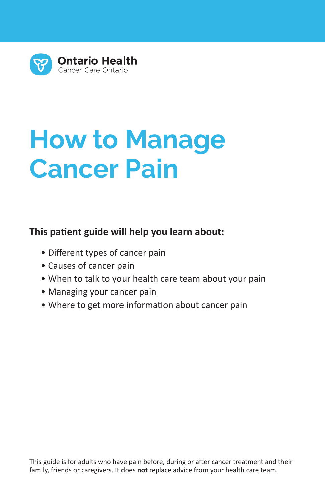

# **How to Manage Cancer Pain**

### **This patient guide will help you learn about:**

- Different types of cancer pain
- Causes of cancer pain
- When to talk to your health care team about your pain
- Managing your cancer pain
- Where to get more information about cancer pain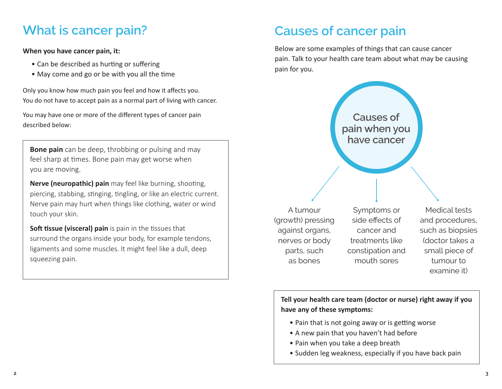## **What is cancer pain?**

#### **When you have cancer pain, it:**

- Can be described as hurting or suffering
- May come and go or be with you all the time

Only you know how much pain you feel and how it affects you. You do not have to accept pain as a normal part of living with cancer.

You may have one or more of the different types of cancer pain described below:

**Bone pain** can be deep, throbbing or pulsing and may feel sharp at times. Bone pain may get worse when you are moving.

**Nerve (neuropathic) pain** may feel like burning, shooting, piercing, stabbing, stinging, tingling, or like an electric current. Nerve pain may hurt when things like clothing, water or wind touch your skin.

**Soft tissue (visceral) pain** is pain in the tissues that surround the organs inside your body, for example tendons, ligaments and some muscles. It might feel like a dull, deep squeezing pain.

## **Causes of cancer pain**

Below are some examples of things that can cause cancer pain. Talk to your health care team about what may be causing pain for you.



**Tell your health care team (doctor or nurse) right away if you have any of these symptoms:**

- Pain that is not going away or is getting worse
- A new pain that you haven't had before
- Pain when you take a deep breath
- Sudden leg weakness, especially if you have back pain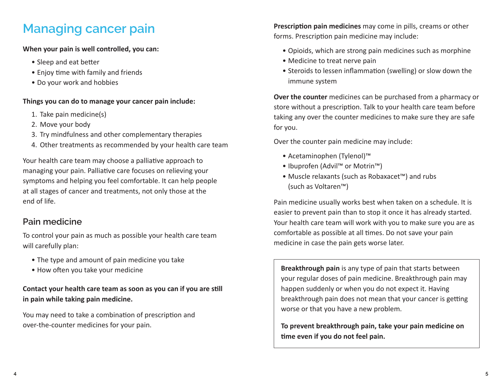## **Managing cancer pain**

**When your pain is well controlled, you can:**

- Sleep and eat better
- Enjoy time with family and friends
- Do your work and hobbies

#### **Things you can do to manage your cancer pain include:**

- 1. Take pain medicine(s)
- 2. Move your body
- 3. Try mindfulness and other complementary therapies
- 4. Other treatments as recommended by your health care team

Your health care team may choose a palliative approach to managing your pain. Palliative care focuses on relieving your symptoms and helping you feel comfortable. It can help people at all stages of cancer and treatments, not only those at the end of life.

## **Pain medicine**

To control your pain as much as possible your health care team will carefully plan:

- The type and amount of pain medicine you take
- How often you take your medicine

### **Contact your health care team as soon as you can if you are still in pain while taking pain medicine.**

You may need to take a combination of prescription and over-the-counter medicines for your pain.

**Prescription pain medicines** may come in pills, creams or other forms. Prescription pain medicine may include:

- Opioids, which are strong pain medicines such as morphine
- Medicine to treat nerve pain
- Steroids to lessen inflammation (swelling) or slow down the immune system

**Over the counter** medicines can be purchased from a pharmacy or store without a prescription. Talk to your health care team before taking any over the counter medicines to make sure they are safe for you.

Over the counter pain medicine may include:

- Acetaminophen (Tylenol)™
- Ibuprofen (Advil™ or Motrin™)
- Muscle relaxants (such as Robaxacet™) and rubs (such as Voltaren™)

Pain medicine usually works best when taken on a schedule. It is easier to prevent pain than to stop it once it has already started. Your health care team will work with you to make sure you are as comfortable as possible at all times. Do not save your pain medicine in case the pain gets worse later.

**Breakthrough pain** is any type of pain that starts between your regular doses of pain medicine. Breakthrough pain may happen suddenly or when you do not expect it. Having breakthrough pain does not mean that your cancer is getting worse or that you have a new problem.

**To prevent breakthrough pain, take your pain medicine on time even if you do not feel pain.**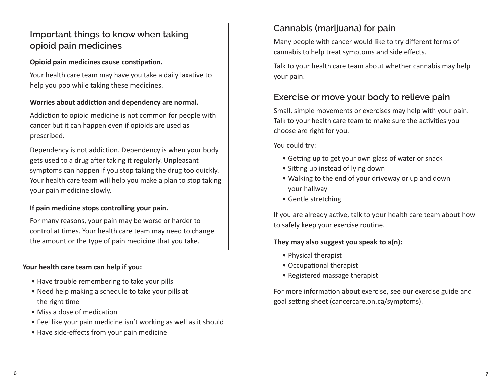## **Important things to know when taking opioid pain medicines**

### **Opioid pain medicines cause constipation.**

Your health care team may have you take a daily laxative to help you poo while taking these medicines.

#### **Worries about addiction and dependency are normal.**

Addiction to opioid medicine is not common for people with cancer but it can happen even if opioids are used as prescribed.

Dependency is not addiction. Dependency is when your body gets used to a drug after taking it regularly. Unpleasant symptoms can happen if you stop taking the drug too quickly. Your health care team will help you make a plan to stop taking your pain medicine slowly.

### **If pain medicine stops controlling your pain.**

For many reasons, your pain may be worse or harder to control at times. Your health care team may need to change the amount or the type of pain medicine that you take.

#### **Your health care team can help if you:**

- Have trouble remembering to take your pills
- Need help making a schedule to take your pills at the right time
- Miss a dose of medication
- Feel like your pain medicine isn't working as well as it should
- Have side-effects from your pain medicine

## **Cannabis (marijuana) for pain**

Many people with cancer would like to try different forms of cannabis to help treat symptoms and side effects.

Talk to your health care team about whether cannabis may help your pain.

## **Exercise or move your body to relieve pain**

Small, simple movements or exercises may help with your pain. Talk to your health care team to make sure the activities you choose are right for you.

You could try:

- Getting up to get your own glass of water or snack
- Sitting up instead of lying down
- Walking to the end of your driveway or up and down your hallway
- Gentle stretching

If you are already active, talk to your health care team about how to safely keep your exercise routine.

#### **They may also suggest you speak to a(n):**

- Physical therapist
- Occupational therapist
- Registered massage therapist

For more information about exercise, see our exercise guide and goal setting sheet ([cancercare.on.ca/symptoms\)](http://cancercare.on.ca/symptoms).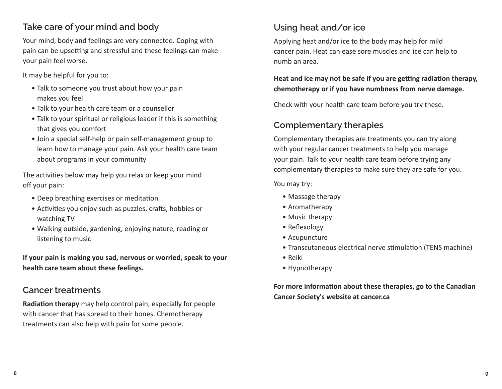## **Take care of your mind and body**

Your mind, body and feelings are very connected. Coping with pain can be upsetting and stressful and these feelings can make your pain feel worse.

It may be helpful for you to:

- Talk to someone you trust about how your pain makes you feel
- Talk to your health care team or a counsellor
- Talk to your spiritual or religious leader if this is something that gives you comfort
- Join a special self-help or pain self-management group to learn how to manage your pain. Ask your health care team about programs in your community

The activities below may help you relax or keep your mind off your pain:

- Deep breathing exercises or meditation
- Activities you enjoy such as puzzles, crafts, hobbies or watching TV
- Walking outside, gardening, enjoying nature, reading or listening to music

**If your pain is making you sad, nervous or worried, speak to your health care team about these feelings.** 

## **Cancer treatments**

**Radiation therapy** may help control pain, especially for people with cancer that has spread to their bones. Chemotherapy treatments can also help with pain for some people.

## **Using heat and/or ice**

Applying heat and/or ice to the body may help for mild cancer pain. Heat can ease sore muscles and ice can help to numb an area.

### **Heat and ice may not be safe if you are getting radiation therapy, chemotherapy or if you have numbness from nerve damage.**

Check with your health care team before you try these.

## **Complementary therapies**

Complementary therapies are treatments you can try along with your regular cancer treatments to help you manage your pain. Talk to your health care team before trying any complementary therapies to make sure they are safe for you.

You may try:

- Massage therapy
- Aromatherapy
- Music therapy
- Reflexology
- Acupuncture
- Transcutaneous electrical nerve stimulation (TENS machine)
- Reiki
- Hypnotherapy

**For more information about these therapies, go to the Canadian Cancer Society's website at [cancer.ca](https://www.cancer.ca/)**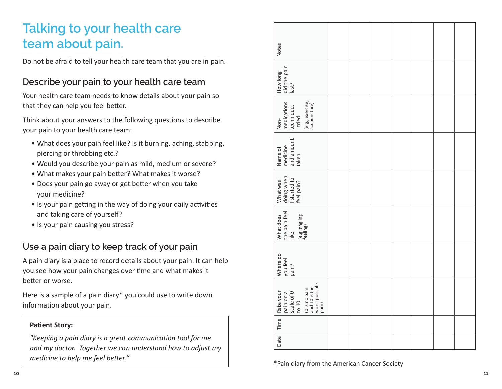## **Talking to your health care team about pain.**

Do not be afraid to tell your health care team that you are in pain.

## **Describe your pain to your health care team**

Your health care team needs to know details about your pain so that they can help you feel better.

Think about your answers to the following questions to describe your pain to your health care team:

- What does your pain feel like? Is it burning, aching, stabbing, piercing or throbbing etc.?
- Would you describe your pain as mild, medium or severe?
- What makes your pain better? What makes it worse?
- Does your pain go away or get better when you take your medicine?
- Is your pain getting in the way of doing your daily activities and taking care of yourself?
- Is your pain causing you stress?

## **Use a pain diary to keep track of your pain**

A pain diary is a place to record details about your pain. It can help you see how your pain changes over time and what makes it better or worse.

Here is a sample of a pain diary\* you could use to write down information about your pain.

#### **Patient Story:**

*"Keeping a pain diary is a great communication tool for me and my doctor. Together we can understand how to adjust my medicine to help me feel better."* 

| <b>Notes</b>                                                                                               |  |  |  |  |
|------------------------------------------------------------------------------------------------------------|--|--|--|--|
| How long<br>did the pain<br>last?                                                                          |  |  |  |  |
| medications<br>techniques<br>I tried<br>(e.g., exercise,<br>acupuncture)<br>Non-                           |  |  |  |  |
| Name of<br>medicine<br>and amount<br>taken                                                                 |  |  |  |  |
| What was I<br>doing when<br>I started to<br>feel pain?                                                     |  |  |  |  |
| What does<br>the pain feel<br>like<br>(e.g. tingling<br>feeling)                                           |  |  |  |  |
| Where do<br>  you feel<br>  pain?                                                                          |  |  |  |  |
| (0 is no pain<br>and 10 is the<br>worst possible<br>pain)<br>Rate your<br>pain on a<br>scale of 0<br>to 10 |  |  |  |  |
| Time                                                                                                       |  |  |  |  |
| Date                                                                                                       |  |  |  |  |

\*Pain diary from the American Cancer Society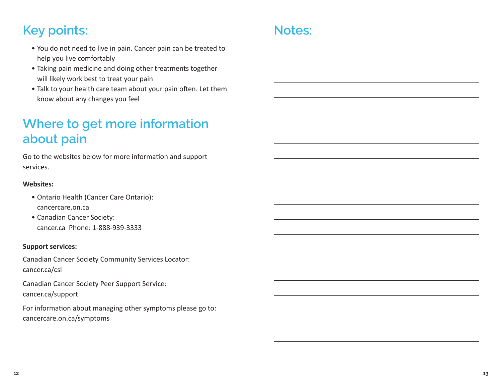## **Key points:**

- You do not need to live in pain. Cancer pain can be treated to help you live comfortably
- Taking pain medicine and doing other treatments together will likely work best to treat your pain
- Talk to your health care team about your pain often. Let them know about any changes you feel

## **Where to get more information about pain**

Go to the websites below for more information and support services.

#### **Websites:**

- Ontario Health (Cancer Care Ontario): [cancercare.on.ca](http://cancercare.on.ca)
- Canadian Cancer Society: [cancer.ca](http://cancer.ca) Phone: 1-888-939-3333

#### **Support services:**

Canadian Cancer Society Community Services Locator: [cancer.ca/csl](http://cancer.ca/csl)

Canadian Cancer Society Peer Support Service: [cancer.ca/support](http://cancer.ca/support)

For information about managing other symptoms please go to: [cancercare.on.ca/symptoms](https://www.cancercareontario.ca/en/symptom-management)

## **Notes:**